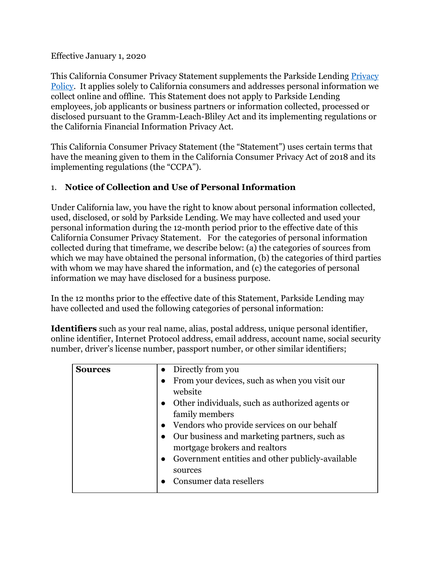Effective January 1, 2020

This California Consumer Privacy Statement supplements the Parkside Lending [Privacy](https://www.parksidelending.com/privacy-policy/) [Policy](https://www.parksidelending.com/privacy-policy/). It applies solely to California consumers and addresses personal information we collect online and offline. This Statement does not apply to Parkside Lending employees, job applicants or business partners or information collected, processed or disclosed pursuant to the Gramm-Leach-Bliley Act and its implementing regulations or the California Financial Information Privacy Act.

This California Consumer Privacy Statement (the "Statement") uses certain terms that have the meaning given to them in the California Consumer Privacy Act of 2018 and its implementing regulations (the "CCPA").

### 1. **Notice of Collection and Use of Personal Information**

Under California law, you have the right to know about personal information collected, used, disclosed, or sold by Parkside Lending. We may have collected and used your personal information during the 12-month period prior to the effective date of this California Consumer Privacy Statement. For the categories of personal information collected during that timeframe, we describe below: (a) the categories of sources from which we may have obtained the personal information, (b) the categories of third parties with whom we may have shared the information, and (c) the categories of personal information we may have disclosed for a business purpose.

In the 12 months prior to the effective date of this Statement, Parkside Lending may have collected and used the following categories of personal information:

**Identifiers** such as your real name, alias, postal address, unique personal identifier, online identifier, Internet Protocol address, email address, account name, social security number, driver's license number, passport number, or other similar identifiers;

| <b>Sources</b> | • Directly from you                                           |
|----------------|---------------------------------------------------------------|
|                | From your devices, such as when you visit our<br>$\bullet$    |
|                | website                                                       |
|                | • Other individuals, such as authorized agents or             |
|                | family members                                                |
|                | Vendors who provide services on our behalf                    |
|                | Our business and marketing partners, such as                  |
|                | mortgage brokers and realtors                                 |
|                | Government entities and other publicly-available<br>$\bullet$ |
|                | sources                                                       |
|                | Consumer data resellers                                       |
|                |                                                               |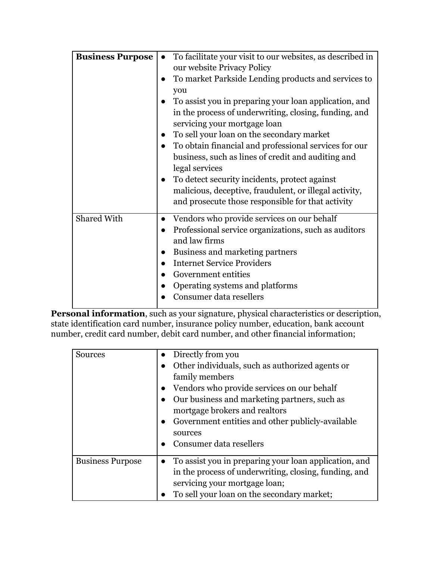| <b>Business Purpose</b> | To facilitate your visit to our websites, as described in<br>$\bullet$<br>our website Privacy Policy<br>To market Parkside Lending products and services to<br>you<br>To assist you in preparing your loan application, and<br>in the process of underwriting, closing, funding, and<br>servicing your mortgage loan<br>To sell your loan on the secondary market<br>To obtain financial and professional services for our<br>business, such as lines of credit and auditing and<br>legal services<br>To detect security incidents, protect against<br>malicious, deceptive, fraudulent, or illegal activity,<br>and prosecute those responsible for that activity |
|-------------------------|--------------------------------------------------------------------------------------------------------------------------------------------------------------------------------------------------------------------------------------------------------------------------------------------------------------------------------------------------------------------------------------------------------------------------------------------------------------------------------------------------------------------------------------------------------------------------------------------------------------------------------------------------------------------|
| <b>Shared With</b>      | Vendors who provide services on our behalf<br>$\bullet$<br>Professional service organizations, such as auditors<br>$\bullet$<br>and law firms<br>Business and marketing partners<br><b>Internet Service Providers</b><br>Government entities<br>Operating systems and platforms<br>Consumer data resellers                                                                                                                                                                                                                                                                                                                                                         |

**Personal information**, such as your signature, physical characteristics or description, state identification card number, insurance policy number, education, bank account number, credit card number, debit card number, and other financial information;

| <b>Sources</b>          | • Directly from you<br>Other individuals, such as authorized agents or<br>family members<br>Vendors who provide services on our behalf<br>Our business and marketing partners, such as<br>mortgage brokers and realtors<br>Government entities and other publicly-available<br>$\bullet$<br>sources<br>Consumer data resellers<br>$\bullet$ |
|-------------------------|---------------------------------------------------------------------------------------------------------------------------------------------------------------------------------------------------------------------------------------------------------------------------------------------------------------------------------------------|
| <b>Business Purpose</b> | To assist you in preparing your loan application, and<br>$\bullet$<br>in the process of underwriting, closing, funding, and<br>servicing your mortgage loan;<br>To sell your loan on the secondary market;                                                                                                                                  |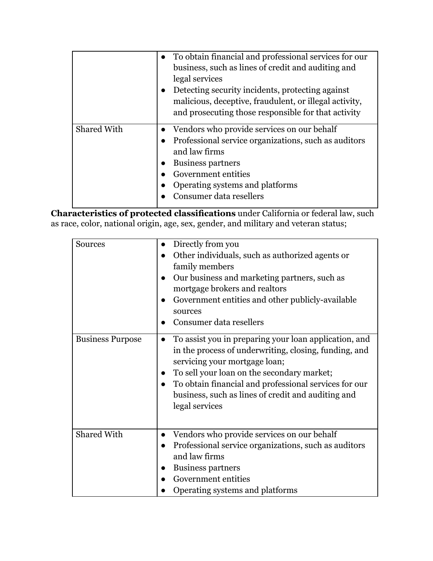|                    | • To obtain financial and professional services for our<br>business, such as lines of credit and auditing and<br>legal services<br>Detecting security incidents, protecting against<br>malicious, deceptive, fraudulent, or illegal activity,<br>and prosecuting those responsible for that activity |
|--------------------|------------------------------------------------------------------------------------------------------------------------------------------------------------------------------------------------------------------------------------------------------------------------------------------------------|
| <b>Shared With</b> | Vendors who provide services on our behalf<br>Professional service organizations, such as auditors<br>and law firms<br><b>Business partners</b><br>Government entities<br>Operating systems and platforms<br>Consumer data resellers                                                                 |

**Characteristics of protected classifications** under California or federal law, such as race, color, national origin, age, sex, gender, and military and veteran status;

| Sources                 | Directly from you<br>Other individuals, such as authorized agents or<br>family members<br>Our business and marketing partners, such as<br>mortgage brokers and realtors<br>Government entities and other publicly-available                                                                                                                 |
|-------------------------|---------------------------------------------------------------------------------------------------------------------------------------------------------------------------------------------------------------------------------------------------------------------------------------------------------------------------------------------|
|                         | sources<br>Consumer data resellers                                                                                                                                                                                                                                                                                                          |
| <b>Business Purpose</b> | To assist you in preparing your loan application, and<br>$\bullet$<br>in the process of underwriting, closing, funding, and<br>servicing your mortgage loan;<br>To sell your loan on the secondary market;<br>To obtain financial and professional services for our<br>business, such as lines of credit and auditing and<br>legal services |
| <b>Shared With</b>      | Vendors who provide services on our behalf<br>$\bullet$<br>Professional service organizations, such as auditors<br>$\bullet$<br>and law firms<br><b>Business partners</b><br>Government entities<br>Operating systems and platforms                                                                                                         |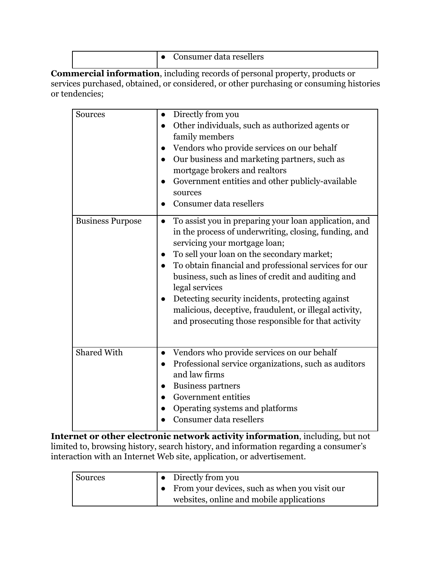**Commercial information**, including records of personal property, products or services purchased, obtained, or considered, or other purchasing or consuming histories or tendencies;

| <b>Sources</b>          | Directly from you<br>$\bullet$<br>Other individuals, such as authorized agents or<br>$\bullet$<br>family members<br>Vendors who provide services on our behalf<br>$\bullet$<br>Our business and marketing partners, such as<br>$\bullet$<br>mortgage brokers and realtors<br>Government entities and other publicly-available<br>$\bullet$<br>sources<br>Consumer data resellers<br>$\bullet$                                                                                                                                                           |
|-------------------------|---------------------------------------------------------------------------------------------------------------------------------------------------------------------------------------------------------------------------------------------------------------------------------------------------------------------------------------------------------------------------------------------------------------------------------------------------------------------------------------------------------------------------------------------------------|
| <b>Business Purpose</b> | To assist you in preparing your loan application, and<br>$\bullet$<br>in the process of underwriting, closing, funding, and<br>servicing your mortgage loan;<br>To sell your loan on the secondary market;<br>$\bullet$<br>To obtain financial and professional services for our<br>$\bullet$<br>business, such as lines of credit and auditing and<br>legal services<br>Detecting security incidents, protecting against<br>$\bullet$<br>malicious, deceptive, fraudulent, or illegal activity,<br>and prosecuting those responsible for that activity |
| <b>Shared With</b>      | Vendors who provide services on our behalf<br>$\bullet$<br>Professional service organizations, such as auditors<br>$\bullet$<br>and law firms<br><b>Business partners</b><br>$\bullet$<br>Government entities<br>Operating systems and platforms<br>Consumer data resellers                                                                                                                                                                                                                                                                             |

**Internet or other electronic network activity information**, including, but not limited to, browsing history, search history, and information regarding a consumer's interaction with an Internet Web site, application, or advertisement.

| Sources | $\bullet$ Directly from you                     |
|---------|-------------------------------------------------|
|         | • From your devices, such as when you visit our |
|         | websites, online and mobile applications        |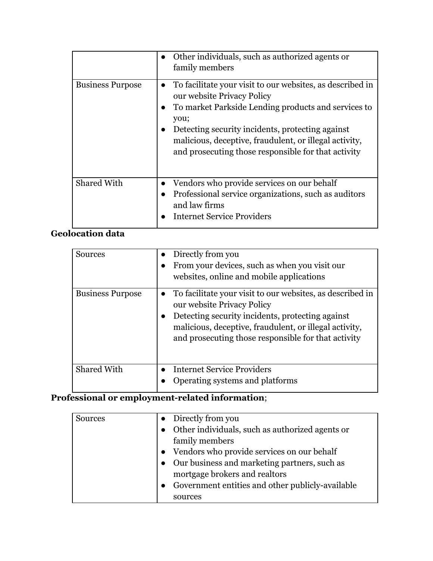|                         | Other individuals, such as authorized agents or<br>family members                                                                                                                                                                                                                                                           |
|-------------------------|-----------------------------------------------------------------------------------------------------------------------------------------------------------------------------------------------------------------------------------------------------------------------------------------------------------------------------|
| <b>Business Purpose</b> | To facilitate your visit to our websites, as described in<br>our website Privacy Policy<br>To market Parkside Lending products and services to<br>you;<br>Detecting security incidents, protecting against<br>malicious, deceptive, fraudulent, or illegal activity,<br>and prosecuting those responsible for that activity |
| <b>Shared With</b>      | Vendors who provide services on our behalf<br>Professional service organizations, such as auditors<br>$\bullet$<br>and law firms<br><b>Internet Service Providers</b>                                                                                                                                                       |

## **Geolocation data**

| Sources                 | Directly from you<br>From your devices, such as when you visit our<br>websites, online and mobile applications                                                                                                                                               |
|-------------------------|--------------------------------------------------------------------------------------------------------------------------------------------------------------------------------------------------------------------------------------------------------------|
| <b>Business Purpose</b> | To facilitate your visit to our websites, as described in<br>our website Privacy Policy<br>Detecting security incidents, protecting against<br>malicious, deceptive, fraudulent, or illegal activity,<br>and prosecuting those responsible for that activity |
| <b>Shared With</b>      | <b>Internet Service Providers</b><br>Operating systems and platforms                                                                                                                                                                                         |

# **Professional or employment-related information**;

| <b>Sources</b> | • Directly from you                               |
|----------------|---------------------------------------------------|
|                | • Other individuals, such as authorized agents or |
|                | family members                                    |
|                | Vendors who provide services on our behalf        |
|                | • Our business and marketing partners, such as    |
|                | mortgage brokers and realtors                     |
|                | Government entities and other publicly-available  |
|                | sources                                           |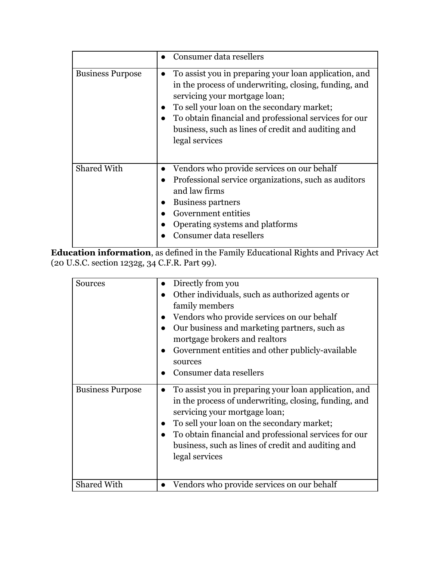|                         | • Consumer data resellers                                                                                                                                                                                                                                                                                                      |
|-------------------------|--------------------------------------------------------------------------------------------------------------------------------------------------------------------------------------------------------------------------------------------------------------------------------------------------------------------------------|
| <b>Business Purpose</b> | To assist you in preparing your loan application, and<br>in the process of underwriting, closing, funding, and<br>servicing your mortgage loan;<br>To sell your loan on the secondary market;<br>To obtain financial and professional services for our<br>business, such as lines of credit and auditing and<br>legal services |
| <b>Shared With</b>      | Vendors who provide services on our behalf<br>Professional service organizations, such as auditors<br>and law firms<br><b>Business partners</b><br>Government entities<br>Operating systems and platforms<br>Consumer data resellers                                                                                           |

**Education information**, as defined in the Family Educational Rights and Privacy Act (20 U.S.C. section 1232g, 34 C.F.R. Part 99).

| <b>Sources</b>          | Directly from you<br>Other individuals, such as authorized agents or<br>family members<br>Vendors who provide services on our behalf<br>Our business and marketing partners, such as<br>mortgage brokers and realtors<br>Government entities and other publicly-available                                                      |
|-------------------------|--------------------------------------------------------------------------------------------------------------------------------------------------------------------------------------------------------------------------------------------------------------------------------------------------------------------------------|
|                         | sources<br>Consumer data resellers                                                                                                                                                                                                                                                                                             |
| <b>Business Purpose</b> | To assist you in preparing your loan application, and<br>in the process of underwriting, closing, funding, and<br>servicing your mortgage loan;<br>To sell your loan on the secondary market;<br>To obtain financial and professional services for our<br>business, such as lines of credit and auditing and<br>legal services |
| <b>Shared With</b>      | Vendors who provide services on our behalf                                                                                                                                                                                                                                                                                     |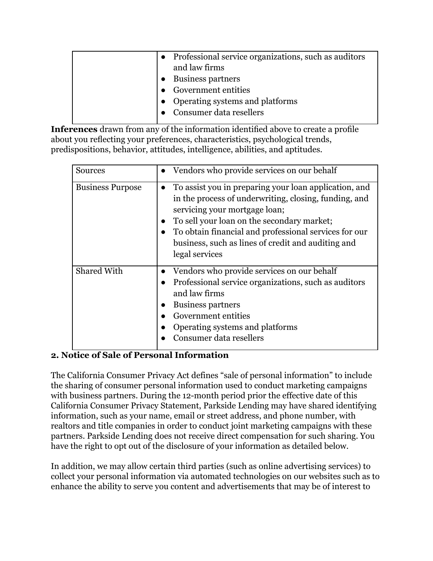| • Professional service organizations, such as auditors |
|--------------------------------------------------------|
| and law firms                                          |
| • Business partners                                    |
| • Government entities                                  |
| • Operating systems and platforms                      |
| • Consumer data resellers                              |

**Inferences** drawn from any of the information identified above to create a profile about you reflecting your preferences, characteristics, psychological trends, predispositions, behavior, attitudes, intelligence, abilities, and aptitudes.

| <b>Sources</b>          | Vendors who provide services on our behalf                                                                                                                                                                                                                                                                                     |
|-------------------------|--------------------------------------------------------------------------------------------------------------------------------------------------------------------------------------------------------------------------------------------------------------------------------------------------------------------------------|
| <b>Business Purpose</b> | To assist you in preparing your loan application, and<br>in the process of underwriting, closing, funding, and<br>servicing your mortgage loan;<br>To sell your loan on the secondary market;<br>To obtain financial and professional services for our<br>business, such as lines of credit and auditing and<br>legal services |
| <b>Shared With</b>      | Vendors who provide services on our behalf<br>Professional service organizations, such as auditors<br>and law firms<br><b>Business partners</b><br>Government entities<br>Operating systems and platforms<br>Consumer data resellers                                                                                           |

#### **2. Notice of Sale of Personal Information**

The California Consumer Privacy Act defines "sale of personal information" to include the sharing of consumer personal information used to conduct marketing campaigns with business partners. During the 12-month period prior the effective date of this California Consumer Privacy Statement, Parkside Lending may have shared identifying information, such as your name, email or street address, and phone number, with realtors and title companies in order to conduct joint marketing campaigns with these partners. Parkside Lending does not receive direct compensation for such sharing. You have the right to opt out of the disclosure of your information as detailed below.

In addition, we may allow certain third parties (such as online advertising services) to collect your personal information via automated technologies on our websites such as to enhance the ability to serve you content and advertisements that may be of interest to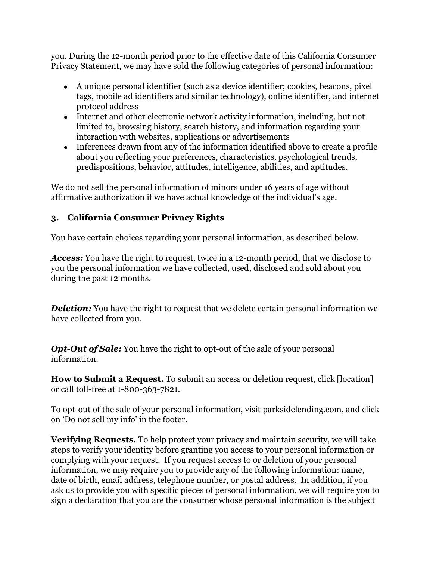you. During the 12-month period prior to the effective date of this California Consumer Privacy Statement, we may have sold the following categories of personal information:

- A unique personal identifier (such as a device identifier; cookies, beacons, pixel tags, mobile ad identifiers and similar technology), online identifier, and internet protocol address
- Internet and other electronic network activity information, including, but not limited to, browsing history, search history, and information regarding your interaction with websites, applications or advertisements
- Inferences drawn from any of the information identified above to create a profile about you reflecting your preferences, characteristics, psychological trends, predispositions, behavior, attitudes, intelligence, abilities, and aptitudes.

We do not sell the personal information of minors under 16 years of age without affirmative authorization if we have actual knowledge of the individual's age.

### **3. California Consumer Privacy Rights**

You have certain choices regarding your personal information, as described below.

*Access:* You have the right to request, twice in a 12-month period, that we disclose to you the personal information we have collected, used, disclosed and sold about you during the past 12 months.

*Deletion:* You have the right to request that we delete certain personal information we have collected from you.

*Opt-Out of Sale:* You have the right to opt-out of the sale of your personal information.

**How to Submit a Request.** To submit an access or deletion request, click [location] or call toll-free at 1-800-363-7821.

To opt-out of the sale of your personal information, visit parksidelending.com, and click on 'Do not sell my info' in the footer.

**Verifying Requests.** To help protect your privacy and maintain security, we will take steps to verify your identity before granting you access to your personal information or complying with your request. If you request access to or deletion of your personal information, we may require you to provide any of the following information: name, date of birth, email address, telephone number, or postal address. In addition, if you ask us to provide you with specific pieces of personal information, we will require you to sign a declaration that you are the consumer whose personal information is the subject